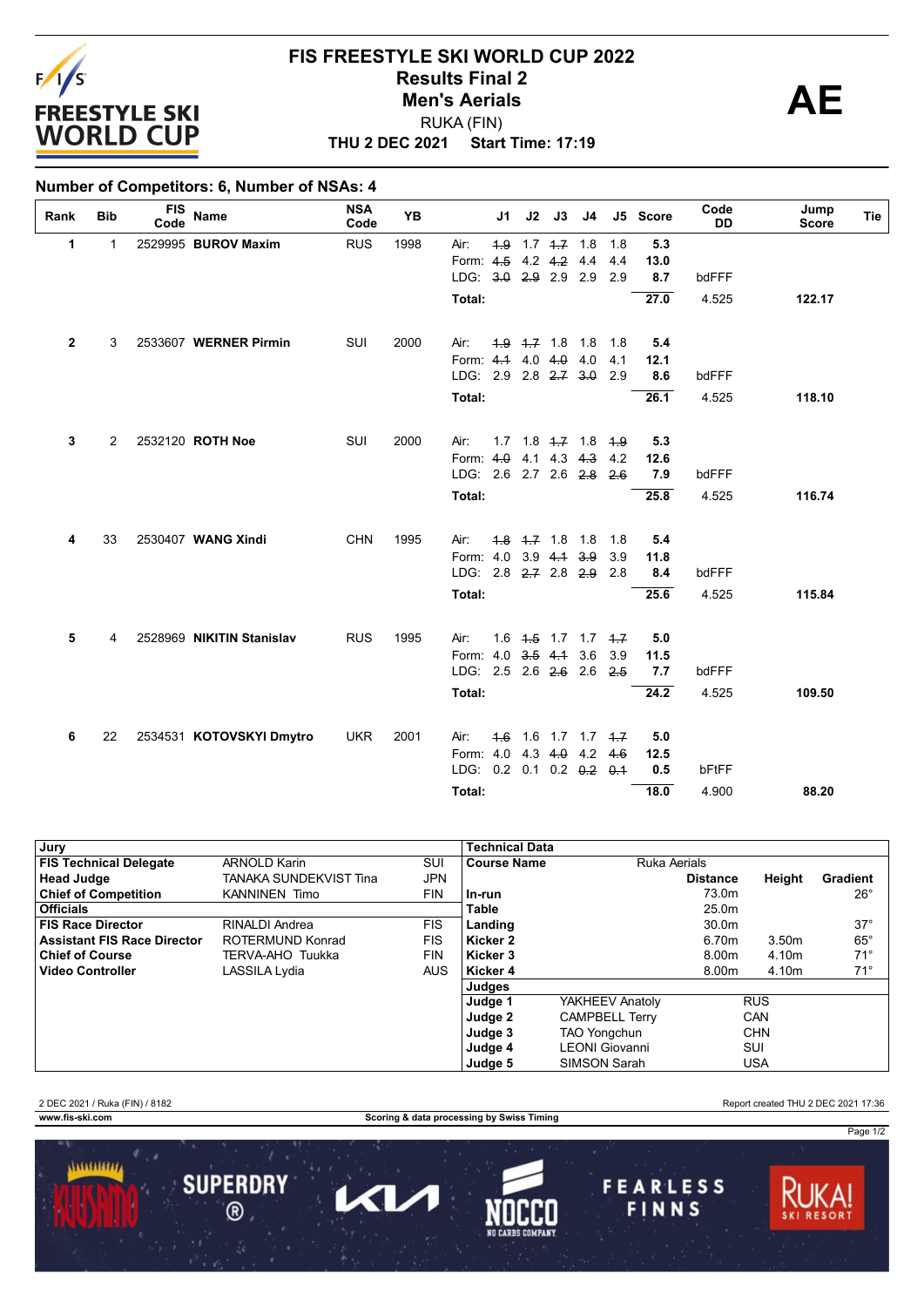

## **THU 2 DEC 2021 Start Time: 17:19 FIS FREESTYLE SKI WORLD CUP 2022 Results Final 2**<br> **Men's Aerials**<br> **AE** RUKA (FIN) **Men's Aerials**

## **Number of Competitors: 6, Number of NSAs: 4**

| Rank         | <b>Bib</b> | <b>FIS</b><br>Code | <b>Name</b>               | <b>NSA</b><br>Code | <b>YB</b> |                                               | J1  | J2              | J3                      | J4                            |            | J5 Score    | Code<br><b>DD</b> | Jump<br><b>Score</b> | Tie |
|--------------|------------|--------------------|---------------------------|--------------------|-----------|-----------------------------------------------|-----|-----------------|-------------------------|-------------------------------|------------|-------------|-------------------|----------------------|-----|
| 1            | 1          |                    | 2529995 BUROV Maxim       | <b>RUS</b>         | 1998      | Air:                                          | 4.9 |                 | $1.7$ $1.7$ $1.8$       |                               | 1.8        | 5.3         |                   |                      |     |
|              |            |                    |                           |                    |           | Form: 4.5                                     |     |                 | $4.2$ $4.2$ $4.4$       |                               | 4.4        | 13.0        |                   |                      |     |
|              |            |                    |                           |                    |           | LDG: 3.0 2.9 2.9 2.9                          |     |                 |                         |                               | 2.9        | 8.7         | bdFFF             |                      |     |
|              |            |                    |                           |                    |           | Total:                                        |     |                 |                         |                               |            | 27.0        | 4.525             | 122.17               |     |
| $\mathbf{2}$ | 3          |                    | 2533607 WERNER Pirmin     | SUI                | 2000      | Air:                                          |     |                 | $4.9$ $4.7$ 1.8 1.8     |                               | 1.8        | 5.4         |                   |                      |     |
|              |            |                    |                           |                    |           | Form: 4.4 4.0 4.0 4.0                         |     |                 |                         |                               | 4.1        | 12.1        |                   |                      |     |
|              |            |                    |                           |                    |           | LDG: 2.9 2.8 2.7 3.0                          |     |                 |                         |                               | 2.9        | 8.6         | bdFFF             |                      |     |
|              |            |                    |                           |                    |           | Total:                                        |     |                 |                         |                               |            | 26.1        | 4.525             | 118.10               |     |
| 3            | 2          |                    | 2532120 ROTH Noe          | SUI                | 2000      | Air:                                          |     |                 | $1.7$ $1.8$ $4.7$ $1.8$ |                               | 4.9        | 5.3         |                   |                      |     |
|              |            |                    |                           |                    |           | Form: $4.0$                                   |     |                 | $4.1$ 4.3 4.3           |                               | 4.2        | 12.6        |                   |                      |     |
|              |            |                    |                           |                    |           | LDG: 2.6 2.7 2.6 2.8                          |     |                 |                         |                               | 2.6        | 7.9         | bdFFF             |                      |     |
|              |            |                    |                           |                    |           | Total:                                        |     |                 |                         |                               |            | 25.8        | 4.525             | 116.74               |     |
|              |            |                    |                           |                    |           |                                               |     |                 |                         |                               |            |             |                   |                      |     |
| 4            | 33         |                    | 2530407 WANG Xindi        | <b>CHN</b>         | 1995      | Air:                                          |     | $4.8$ $4.7$ 1.8 |                         | 1.8                           | 1.8        | 5.4         |                   |                      |     |
|              |            |                    |                           |                    |           | Form: 4.0 3.9 4.4 3.9                         |     |                 |                         |                               | 3.9        | 11.8        |                   |                      |     |
|              |            |                    |                           |                    |           | LDG: $2.8$ $2.7$ $2.8$ $2.9$                  |     |                 |                         |                               | 2.8        | 8.4         | bdFFF             |                      |     |
|              |            |                    |                           |                    |           | Total:                                        |     |                 |                         |                               |            | 25.6        | 4.525             | 115.84               |     |
|              |            |                    |                           |                    |           |                                               |     |                 |                         |                               |            |             |                   |                      |     |
| 5            | 4          |                    | 2528969 NIKITIN Stanislav | <b>RUS</b>         | 1995      | Air:                                          |     |                 |                         | $1.6$ $4.5$ $1.7$ $1.7$ $4.7$ |            | 5.0         |                   |                      |     |
|              |            |                    |                           |                    |           | Form: 4.0 3.5 4.1 3.6<br>LDG: 2.5 2.6 2.6 2.6 |     |                 |                         |                               | 3.9<br>2.5 | 11.5<br>7.7 | bdFFF             |                      |     |
|              |            |                    |                           |                    |           |                                               |     |                 |                         |                               |            |             |                   |                      |     |
|              |            |                    |                           |                    |           | Total:                                        |     |                 |                         |                               |            | 24.2        | 4.525             | 109.50               |     |
| 6            | 22         |                    | 2534531 KOTOVSKYI Dmytro  | <b>UKR</b>         | 2001      | Air:                                          | 4.6 |                 |                         | $1.6$ 1.7 1.7 $4.7$           |            | 5.0         |                   |                      |     |
|              |            |                    |                           |                    |           | Form: 4.0                                     |     |                 |                         | 4.3 $4.0$ 4.2                 | 4.6        | 12.5        |                   |                      |     |
|              |            |                    |                           |                    |           | LDG: 0.2 0.1 0.2 0.2 0.4                      |     |                 |                         |                               |            | 0.5         | bFtFF             |                      |     |
|              |            |                    |                           |                    |           | Total:                                        |     |                 |                         |                               |            | 18.0        | 4.900             | 88.20                |     |

| Jury                               |                        |            | <b>Technical Data</b> |                       |                   |            |              |
|------------------------------------|------------------------|------------|-----------------------|-----------------------|-------------------|------------|--------------|
| <b>FIS Technical Delegate</b>      | <b>ARNOLD Karin</b>    | SUI        | <b>Course Name</b>    | Ruka Aerials          |                   |            |              |
| <b>Head Judge</b>                  | TANAKA SUNDEKVIST Tina | JPN        |                       |                       | <b>Distance</b>   | Height     | Gradient     |
| <b>Chief of Competition</b>        | <b>KANNINEN Timo</b>   | <b>FIN</b> | . In-run              |                       | 73.0m             |            | $26^{\circ}$ |
| <b>Officials</b>                   |                        |            | Table                 |                       | 25.0 <sub>m</sub> |            |              |
| <b>FIS Race Director</b>           | RINALDI Andrea         | FIS.       | Landing               |                       | 30.0m             |            | $37^\circ$   |
| <b>Assistant FIS Race Director</b> | ROTERMUND Konrad       | <b>FIS</b> | Kicker 2              |                       | 6.70m             | 3.50m      | $65^{\circ}$ |
| <b>Chief of Course</b>             | TERVA-AHO Tuukka       | <b>FIN</b> | Kicker 3              |                       | 8.00m             | 4.10m      | $71^\circ$   |
| <b>Video Controller</b>            | LASSILA Lydia          | <b>AUS</b> | Kicker 4              |                       | 8.00m             | 4.10m      | $71^\circ$   |
|                                    |                        |            | Judges                |                       |                   |            |              |
|                                    |                        |            | Judge 1               | YAKHEEV Anatoly       |                   | <b>RUS</b> |              |
|                                    |                        |            | Judge 2               | <b>CAMPBELL Terry</b> |                   | CAN        |              |
|                                    |                        |            | Judge 3               | <b>TAO Yongchun</b>   |                   | <b>CHN</b> |              |
|                                    |                        |            | Judge 4               | LEONI Giovanni        |                   | SUI        |              |
|                                    |                        |            | Judge 5               | SIMSON Sarah          |                   | <b>USA</b> |              |

2 DEC 2021 / Ruka (FIN) / 8182 Report created THU 2 DEC 2021 17:36